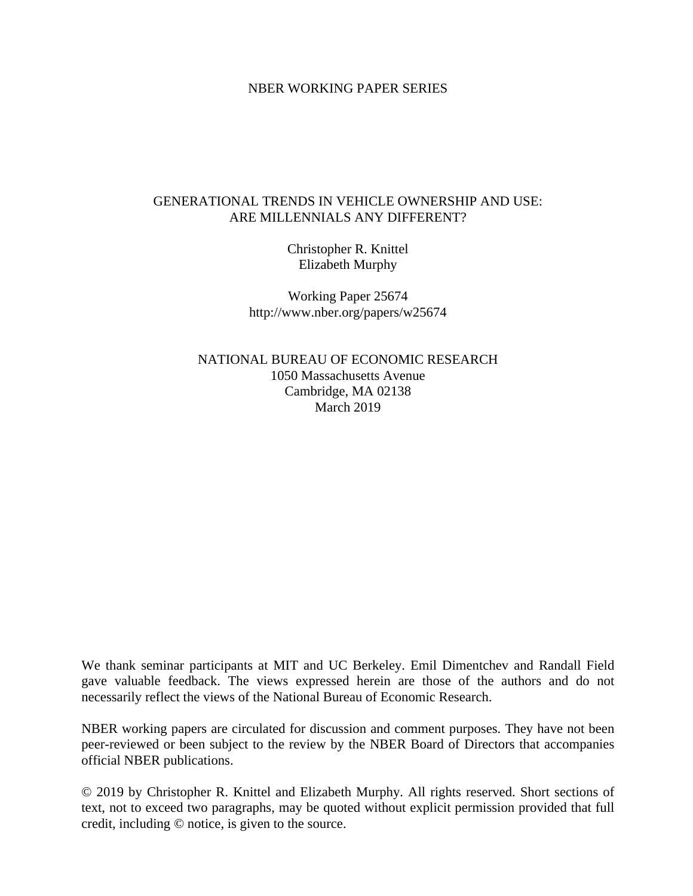## NBER WORKING PAPER SERIES

## GENERATIONAL TRENDS IN VEHICLE OWNERSHIP AND USE: ARE MILLENNIALS ANY DIFFERENT?

Christopher R. Knittel Elizabeth Murphy

Working Paper 25674 http://www.nber.org/papers/w25674

NATIONAL BUREAU OF ECONOMIC RESEARCH 1050 Massachusetts Avenue Cambridge, MA 02138 March 2019

We thank seminar participants at MIT and UC Berkeley. Emil Dimentchev and Randall Field gave valuable feedback. The views expressed herein are those of the authors and do not necessarily reflect the views of the National Bureau of Economic Research.

NBER working papers are circulated for discussion and comment purposes. They have not been peer-reviewed or been subject to the review by the NBER Board of Directors that accompanies official NBER publications.

© 2019 by Christopher R. Knittel and Elizabeth Murphy. All rights reserved. Short sections of text, not to exceed two paragraphs, may be quoted without explicit permission provided that full credit, including © notice, is given to the source.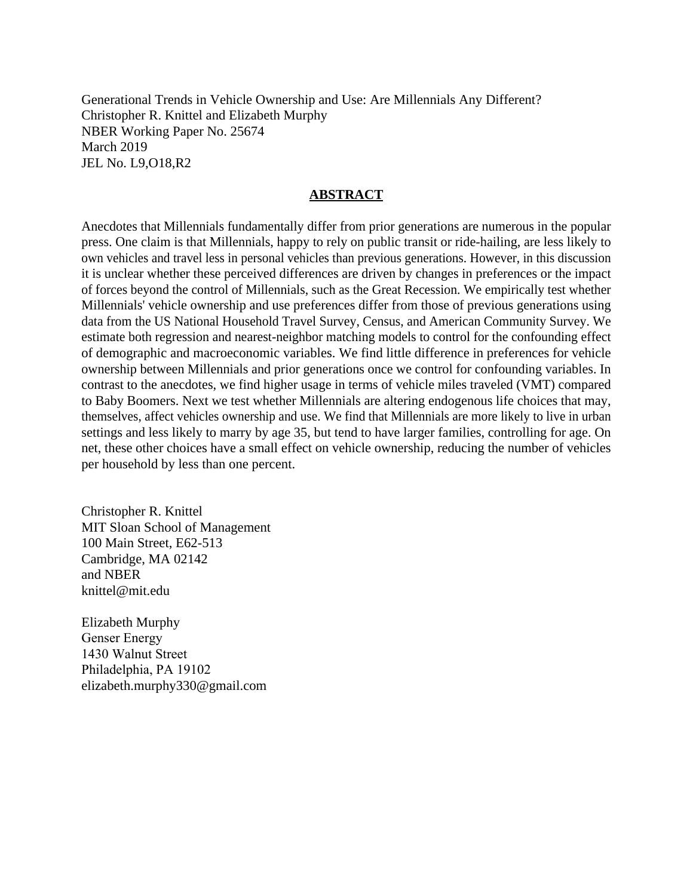Generational Trends in Vehicle Ownership and Use: Are Millennials Any Different? Christopher R. Knittel and Elizabeth Murphy NBER Working Paper No. 25674 March 2019 JEL No. L9,O18,R2

## **ABSTRACT**

Anecdotes that Millennials fundamentally differ from prior generations are numerous in the popular press. One claim is that Millennials, happy to rely on public transit or ride-hailing, are less likely to own vehicles and travel less in personal vehicles than previous generations. However, in this discussion it is unclear whether these perceived differences are driven by changes in preferences or the impact of forces beyond the control of Millennials, such as the Great Recession. We empirically test whether Millennials' vehicle ownership and use preferences differ from those of previous generations using data from the US National Household Travel Survey, Census, and American Community Survey. We estimate both regression and nearest-neighbor matching models to control for the confounding effect of demographic and macroeconomic variables. We find little difference in preferences for vehicle ownership between Millennials and prior generations once we control for confounding variables. In contrast to the anecdotes, we find higher usage in terms of vehicle miles traveled (VMT) compared to Baby Boomers. Next we test whether Millennials are altering endogenous life choices that may, themselves, affect vehicles ownership and use. We find that Millennials are more likely to live in urban settings and less likely to marry by age 35, but tend to have larger families, controlling for age. On net, these other choices have a small effect on vehicle ownership, reducing the number of vehicles per household by less than one percent.

Christopher R. Knittel MIT Sloan School of Management 100 Main Street, E62-513 Cambridge, MA 02142 and NBER knittel@mit.edu

Elizabeth Murphy Genser Energy 1430 Walnut Street Philadelphia, PA 19102 elizabeth.murphy330@gmail.com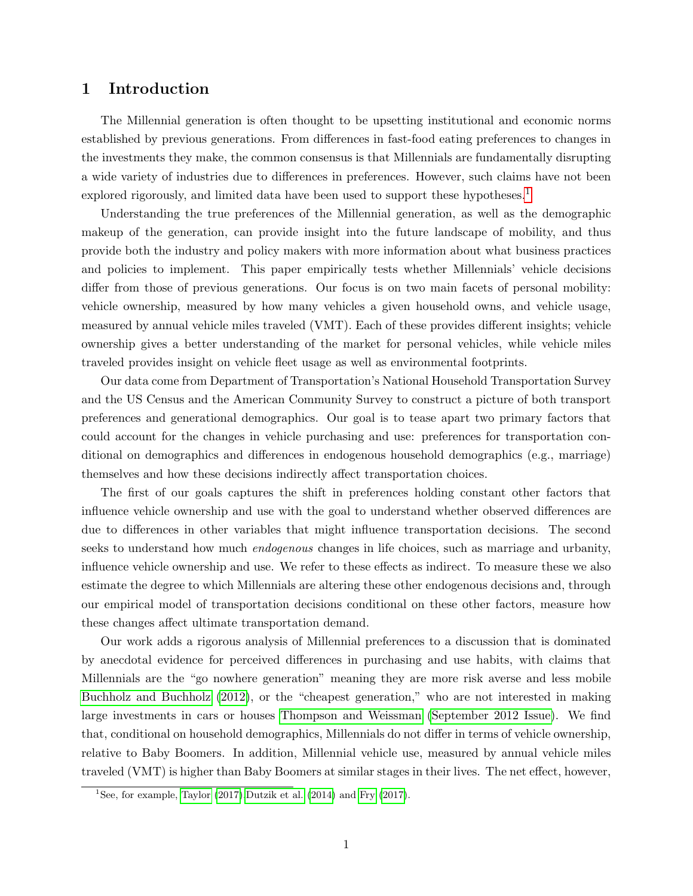## 1 Introduction

The Millennial generation is often thought to be upsetting institutional and economic norms established by previous generations. From differences in fast-food eating preferences to changes in the investments they make, the common consensus is that Millennials are fundamentally disrupting a wide variety of industries due to differences in preferences. However, such claims have not been explored rigorously, and limited data have been used to support these hypotheses.<sup>[1](#page-2-0)</sup>

Understanding the true preferences of the Millennial generation, as well as the demographic makeup of the generation, can provide insight into the future landscape of mobility, and thus provide both the industry and policy makers with more information about what business practices and policies to implement. This paper empirically tests whether Millennials' vehicle decisions differ from those of previous generations. Our focus is on two main facets of personal mobility: vehicle ownership, measured by how many vehicles a given household owns, and vehicle usage, measured by annual vehicle miles traveled (VMT). Each of these provides different insights; vehicle ownership gives a better understanding of the market for personal vehicles, while vehicle miles traveled provides insight on vehicle fleet usage as well as environmental footprints.

Our data come from Department of Transportation's National Household Transportation Survey and the US Census and the American Community Survey to construct a picture of both transport preferences and generational demographics. Our goal is to tease apart two primary factors that could account for the changes in vehicle purchasing and use: preferences for transportation conditional on demographics and differences in endogenous household demographics (e.g., marriage) themselves and how these decisions indirectly affect transportation choices.

The first of our goals captures the shift in preferences holding constant other factors that influence vehicle ownership and use with the goal to understand whether observed differences are due to differences in other variables that might influence transportation decisions. The second seeks to understand how much *endogenous* changes in life choices, such as marriage and urbanity, influence vehicle ownership and use. We refer to these effects as indirect. To measure these we also estimate the degree to which Millennials are altering these other endogenous decisions and, through our empirical model of transportation decisions conditional on these other factors, measure how these changes affect ultimate transportation demand.

Our work adds a rigorous analysis of Millennial preferences to a discussion that is dominated by anecdotal evidence for perceived differences in purchasing and use habits, with claims that Millennials are the "go nowhere generation" meaning they are more risk averse and less mobile [Buchholz and Buchholz](#page-20-0) [\(2012\)](#page-20-0), or the "cheapest generation," who are not interested in making large investments in cars or houses [Thompson and Weissman](#page-20-1) [\(September 2012 Issue\)](#page-20-1). We find that, conditional on household demographics, Millennials do not differ in terms of vehicle ownership, relative to Baby Boomers. In addition, Millennial vehicle use, measured by annual vehicle miles traveled (VMT) is higher than Baby Boomers at similar stages in their lives. The net effect, however,

<span id="page-2-0"></span><sup>&</sup>lt;sup>1</sup>See, for example, [Taylor](#page-20-2)  $(2017)$ , Dutzik et al.  $(2014)$  and [Fry](#page-20-4)  $(2017)$ .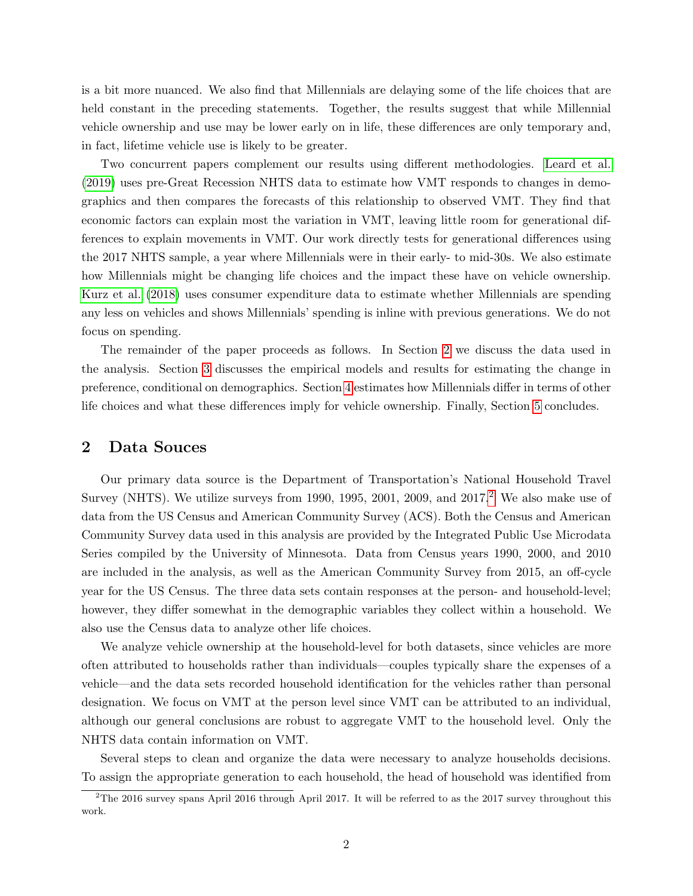is a bit more nuanced. We also find that Millennials are delaying some of the life choices that are held constant in the preceding statements. Together, the results suggest that while Millennial vehicle ownership and use may be lower early on in life, these differences are only temporary and, in fact, lifetime vehicle use is likely to be greater.

Two concurrent papers complement our results using different methodologies. [Leard et al.](#page-20-5) [\(2019\)](#page-20-5) uses pre-Great Recession NHTS data to estimate how VMT responds to changes in demographics and then compares the forecasts of this relationship to observed VMT. They find that economic factors can explain most the variation in VMT, leaving little room for generational differences to explain movements in VMT. Our work directly tests for generational differences using the 2017 NHTS sample, a year where Millennials were in their early- to mid-30s. We also estimate how Millennials might be changing life choices and the impact these have on vehicle ownership. [Kurz et al.](#page-20-6) [\(2018\)](#page-20-6) uses consumer expenditure data to estimate whether Millennials are spending any less on vehicles and shows Millennials' spending is inline with previous generations. We do not focus on spending.

The remainder of the paper proceeds as follows. In Section [2](#page-3-0) we discuss the data used in the analysis. Section [3](#page-4-0) discusses the empirical models and results for estimating the change in preference, conditional on demographics. Section [4](#page-12-0) estimates how Millennials differ in terms of other life choices and what these differences imply for vehicle ownership. Finally, Section [5](#page-13-0) concludes.

## <span id="page-3-0"></span>2 Data Souces

Our primary data source is the Department of Transportation's National Household Travel Survey (NHTS). We utilize surveys from 1990, 1995, [2](#page-3-1)001, 2009, and  $2017<sup>2</sup>$  We also make use of data from the US Census and American Community Survey (ACS). Both the Census and American Community Survey data used in this analysis are provided by the Integrated Public Use Microdata Series compiled by the University of Minnesota. Data from Census years 1990, 2000, and 2010 are included in the analysis, as well as the American Community Survey from 2015, an off-cycle year for the US Census. The three data sets contain responses at the person- and household-level; however, they differ somewhat in the demographic variables they collect within a household. We also use the Census data to analyze other life choices.

We analyze vehicle ownership at the household-level for both datasets, since vehicles are more often attributed to households rather than individuals—couples typically share the expenses of a vehicle—and the data sets recorded household identification for the vehicles rather than personal designation. We focus on VMT at the person level since VMT can be attributed to an individual, although our general conclusions are robust to aggregate VMT to the household level. Only the NHTS data contain information on VMT.

Several steps to clean and organize the data were necessary to analyze households decisions. To assign the appropriate generation to each household, the head of household was identified from

<span id="page-3-1"></span><sup>&</sup>lt;sup>2</sup>The 2016 survey spans April 2016 through April 2017. It will be referred to as the 2017 survey throughout this work.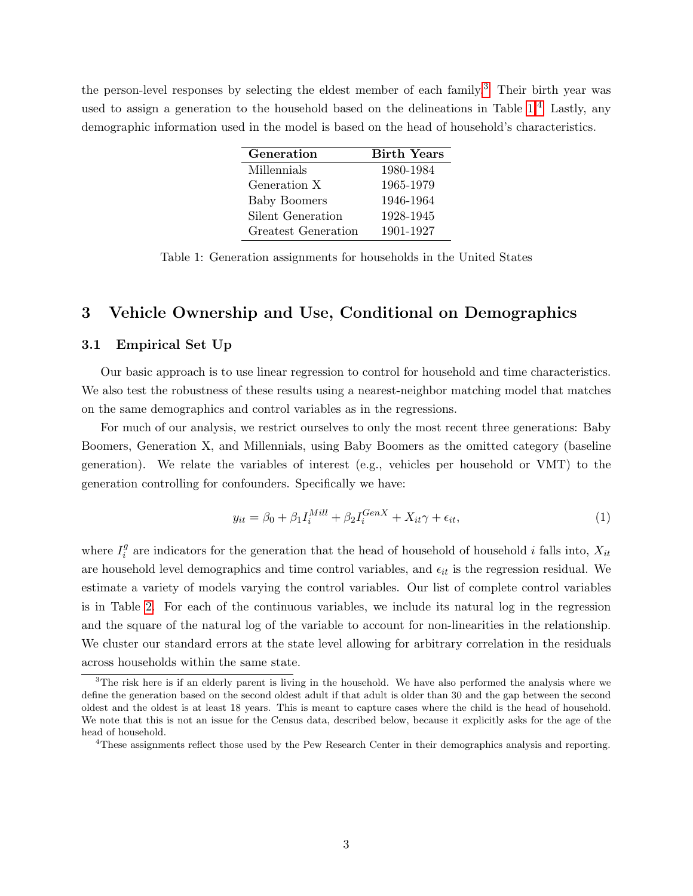the person-level responses by selecting the eldest member of each family.<sup>[3](#page-4-1)</sup> Their birth year was used to assign a generation to the household based on the delineations in Table  $1<sup>4</sup>$  $1<sup>4</sup>$  $1<sup>4</sup>$  Lastly, any demographic information used in the model is based on the head of household's characteristics.

| Generation          | <b>Birth Years</b> |
|---------------------|--------------------|
| Millennials         | 1980-1984          |
| Generation X        | 1965-1979          |
| <b>Baby Boomers</b> | 1946-1964          |
| Silent Generation   | 1928-1945          |
| Greatest Generation | 1901-1927          |

<span id="page-4-2"></span>Table 1: Generation assignments for households in the United States

# <span id="page-4-0"></span>3 Vehicle Ownership and Use, Conditional on Demographics

#### 3.1 Empirical Set Up

Our basic approach is to use linear regression to control for household and time characteristics. We also test the robustness of these results using a nearest-neighbor matching model that matches on the same demographics and control variables as in the regressions.

For much of our analysis, we restrict ourselves to only the most recent three generations: Baby Boomers, Generation X, and Millennials, using Baby Boomers as the omitted category (baseline generation). We relate the variables of interest (e.g., vehicles per household or VMT) to the generation controlling for confounders. Specifically we have:

$$
y_{it} = \beta_0 + \beta_1 I_i^{Mill} + \beta_2 I_i^{GenX} + X_{it} \gamma + \epsilon_{it},\tag{1}
$$

where  $I_i^g$  $i$  are indicators for the generation that the head of household of household i falls into,  $X_{it}$ are household level demographics and time control variables, and  $\epsilon_{it}$  is the regression residual. We estimate a variety of models varying the control variables. Our list of complete control variables is in Table [2.](#page-5-0) For each of the continuous variables, we include its natural log in the regression and the square of the natural log of the variable to account for non-linearities in the relationship. We cluster our standard errors at the state level allowing for arbitrary correlation in the residuals across households within the same state.

<span id="page-4-1"></span><sup>&</sup>lt;sup>3</sup>The risk here is if an elderly parent is living in the household. We have also performed the analysis where we define the generation based on the second oldest adult if that adult is older than 30 and the gap between the second oldest and the oldest is at least 18 years. This is meant to capture cases where the child is the head of household. We note that this is not an issue for the Census data, described below, because it explicitly asks for the age of the head of household.

<span id="page-4-3"></span><sup>4</sup>These assignments reflect those used by the Pew Research Center in their demographics analysis and reporting.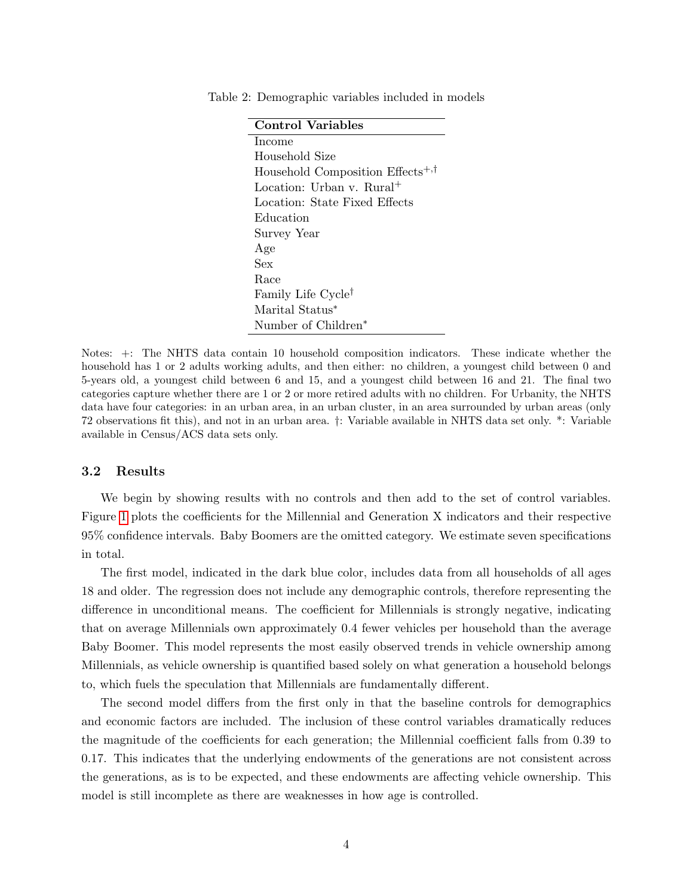<span id="page-5-0"></span>

| Control Variables                            |
|----------------------------------------------|
| Income                                       |
| Household Size                               |
| Household Composition Effects <sup>+,†</sup> |
| Location: Urban v. Rural <sup>+</sup>        |
| Location: State Fixed Effects                |
| Education                                    |
| Survey Year                                  |
| Age                                          |
| Sex                                          |
| Race                                         |
| Family Life Cycle <sup>†</sup>               |
| Marital Status*                              |
| Number of Children                           |

Table 2: Demographic variables included in models

Notes: +: The NHTS data contain 10 household composition indicators. These indicate whether the household has 1 or 2 adults working adults, and then either: no children, a youngest child between 0 and 5-years old, a youngest child between 6 and 15, and a youngest child between 16 and 21. The final two categories capture whether there are 1 or 2 or more retired adults with no children. For Urbanity, the NHTS data have four categories: in an urban area, in an urban cluster, in an area surrounded by urban areas (only 72 observations fit this), and not in an urban area. †: Variable available in NHTS data set only. \*: Variable available in Census/ACS data sets only.

#### 3.2 Results

We begin by showing results with no controls and then add to the set of control variables. Figure [1](#page-6-0) plots the coefficients for the Millennial and Generation X indicators and their respective 95% confidence intervals. Baby Boomers are the omitted category. We estimate seven specifications in total.

The first model, indicated in the dark blue color, includes data from all households of all ages 18 and older. The regression does not include any demographic controls, therefore representing the difference in unconditional means. The coefficient for Millennials is strongly negative, indicating that on average Millennials own approximately 0.4 fewer vehicles per household than the average Baby Boomer. This model represents the most easily observed trends in vehicle ownership among Millennials, as vehicle ownership is quantified based solely on what generation a household belongs to, which fuels the speculation that Millennials are fundamentally different.

The second model differs from the first only in that the baseline controls for demographics and economic factors are included. The inclusion of these control variables dramatically reduces the magnitude of the coefficients for each generation; the Millennial coefficient falls from 0.39 to 0.17. This indicates that the underlying endowments of the generations are not consistent across the generations, as is to be expected, and these endowments are affecting vehicle ownership. This model is still incomplete as there are weaknesses in how age is controlled.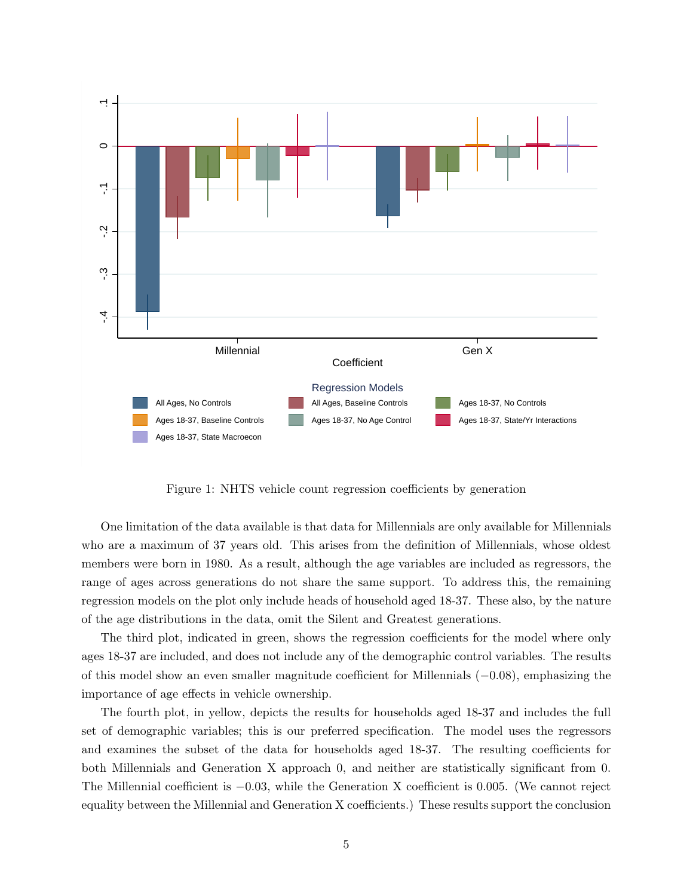

<span id="page-6-0"></span>Figure 1: NHTS vehicle count regression coefficients by generation

One limitation of the data available is that data for Millennials are only available for Millennials who are a maximum of 37 years old. This arises from the definition of Millennials, whose oldest members were born in 1980. As a result, although the age variables are included as regressors, the range of ages across generations do not share the same support. To address this, the remaining regression models on the plot only include heads of household aged 18-37. These also, by the nature of the age distributions in the data, omit the Silent and Greatest generations.

The third plot, indicated in green, shows the regression coefficients for the model where only ages 18-37 are included, and does not include any of the demographic control variables. The results of this model show an even smaller magnitude coefficient for Millennials (−0.08), emphasizing the importance of age effects in vehicle ownership.

The fourth plot, in yellow, depicts the results for households aged 18-37 and includes the full set of demographic variables; this is our preferred specification. The model uses the regressors and examines the subset of the data for households aged 18-37. The resulting coefficients for both Millennials and Generation X approach 0, and neither are statistically significant from 0. The Millennial coefficient is −0.03, while the Generation X coefficient is 0.005. (We cannot reject equality between the Millennial and Generation X coefficients.) These results support the conclusion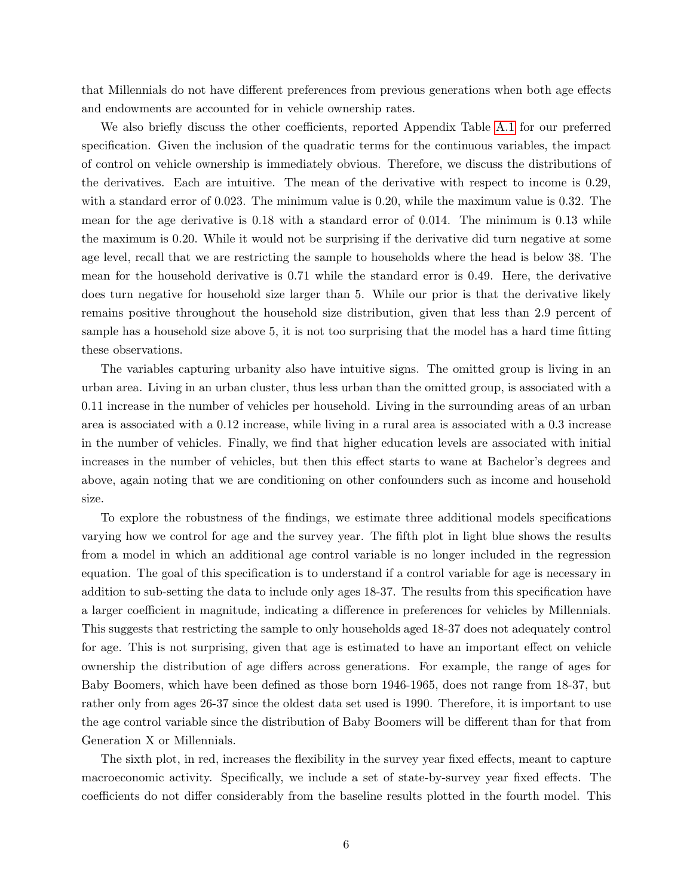that Millennials do not have different preferences from previous generations when both age effects and endowments are accounted for in vehicle ownership rates.

We also briefly discuss the other coefficients, reported Appendix Table [A.1](#page-16-0) for our preferred specification. Given the inclusion of the quadratic terms for the continuous variables, the impact of control on vehicle ownership is immediately obvious. Therefore, we discuss the distributions of the derivatives. Each are intuitive. The mean of the derivative with respect to income is 0.29, with a standard error of 0.023. The minimum value is 0.20, while the maximum value is 0.32. The mean for the age derivative is 0.18 with a standard error of 0.014. The minimum is 0.13 while the maximum is 0.20. While it would not be surprising if the derivative did turn negative at some age level, recall that we are restricting the sample to households where the head is below 38. The mean for the household derivative is 0.71 while the standard error is 0.49. Here, the derivative does turn negative for household size larger than 5. While our prior is that the derivative likely remains positive throughout the household size distribution, given that less than 2.9 percent of sample has a household size above 5, it is not too surprising that the model has a hard time fitting these observations.

The variables capturing urbanity also have intuitive signs. The omitted group is living in an urban area. Living in an urban cluster, thus less urban than the omitted group, is associated with a 0.11 increase in the number of vehicles per household. Living in the surrounding areas of an urban area is associated with a 0.12 increase, while living in a rural area is associated with a 0.3 increase in the number of vehicles. Finally, we find that higher education levels are associated with initial increases in the number of vehicles, but then this effect starts to wane at Bachelor's degrees and above, again noting that we are conditioning on other confounders such as income and household size.

To explore the robustness of the findings, we estimate three additional models specifications varying how we control for age and the survey year. The fifth plot in light blue shows the results from a model in which an additional age control variable is no longer included in the regression equation. The goal of this specification is to understand if a control variable for age is necessary in addition to sub-setting the data to include only ages 18-37. The results from this specification have a larger coefficient in magnitude, indicating a difference in preferences for vehicles by Millennials. This suggests that restricting the sample to only households aged 18-37 does not adequately control for age. This is not surprising, given that age is estimated to have an important effect on vehicle ownership the distribution of age differs across generations. For example, the range of ages for Baby Boomers, which have been defined as those born 1946-1965, does not range from 18-37, but rather only from ages 26-37 since the oldest data set used is 1990. Therefore, it is important to use the age control variable since the distribution of Baby Boomers will be different than for that from Generation X or Millennials.

The sixth plot, in red, increases the flexibility in the survey year fixed effects, meant to capture macroeconomic activity. Specifically, we include a set of state-by-survey year fixed effects. The coefficients do not differ considerably from the baseline results plotted in the fourth model. This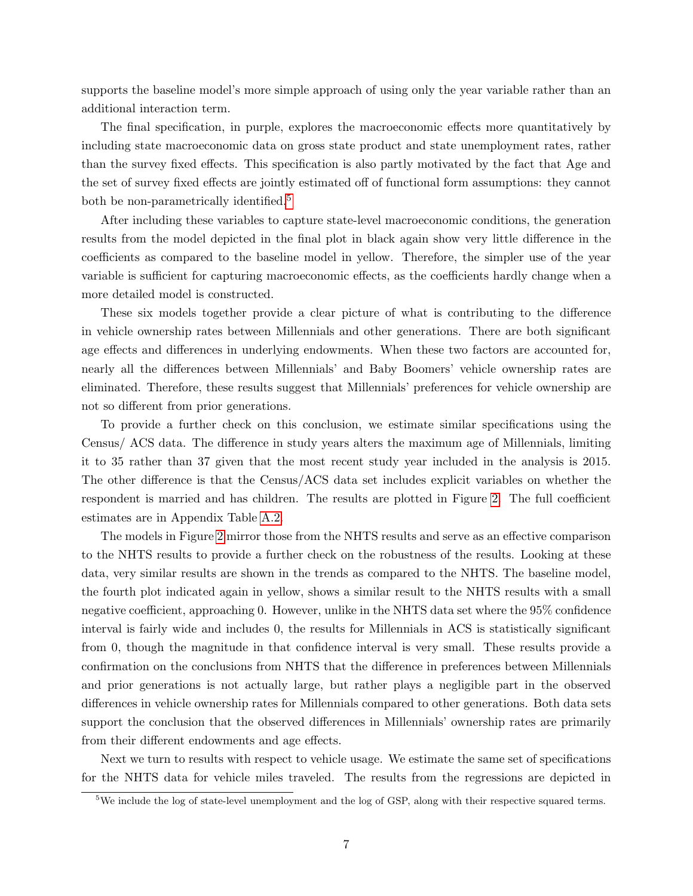supports the baseline model's more simple approach of using only the year variable rather than an additional interaction term.

The final specification, in purple, explores the macroeconomic effects more quantitatively by including state macroeconomic data on gross state product and state unemployment rates, rather than the survey fixed effects. This specification is also partly motivated by the fact that Age and the set of survey fixed effects are jointly estimated off of functional form assumptions: they cannot both be non-parametrically identified.<sup>[5](#page-8-0)</sup>

After including these variables to capture state-level macroeconomic conditions, the generation results from the model depicted in the final plot in black again show very little difference in the coefficients as compared to the baseline model in yellow. Therefore, the simpler use of the year variable is sufficient for capturing macroeconomic effects, as the coefficients hardly change when a more detailed model is constructed.

These six models together provide a clear picture of what is contributing to the difference in vehicle ownership rates between Millennials and other generations. There are both significant age effects and differences in underlying endowments. When these two factors are accounted for, nearly all the differences between Millennials' and Baby Boomers' vehicle ownership rates are eliminated. Therefore, these results suggest that Millennials' preferences for vehicle ownership are not so different from prior generations.

To provide a further check on this conclusion, we estimate similar specifications using the Census/ ACS data. The difference in study years alters the maximum age of Millennials, limiting it to 35 rather than 37 given that the most recent study year included in the analysis is 2015. The other difference is that the Census/ACS data set includes explicit variables on whether the respondent is married and has children. The results are plotted in Figure [2.](#page-9-0) The full coefficient estimates are in Appendix Table [A.2.](#page-17-0)

The models in Figure [2](#page-9-0) mirror those from the NHTS results and serve as an effective comparison to the NHTS results to provide a further check on the robustness of the results. Looking at these data, very similar results are shown in the trends as compared to the NHTS. The baseline model, the fourth plot indicated again in yellow, shows a similar result to the NHTS results with a small negative coefficient, approaching 0. However, unlike in the NHTS data set where the 95% confidence interval is fairly wide and includes 0, the results for Millennials in ACS is statistically significant from 0, though the magnitude in that confidence interval is very small. These results provide a confirmation on the conclusions from NHTS that the difference in preferences between Millennials and prior generations is not actually large, but rather plays a negligible part in the observed differences in vehicle ownership rates for Millennials compared to other generations. Both data sets support the conclusion that the observed differences in Millennials' ownership rates are primarily from their different endowments and age effects.

Next we turn to results with respect to vehicle usage. We estimate the same set of specifications for the NHTS data for vehicle miles traveled. The results from the regressions are depicted in

<span id="page-8-0"></span><sup>&</sup>lt;sup>5</sup>We include the log of state-level unemployment and the log of GSP, along with their respective squared terms.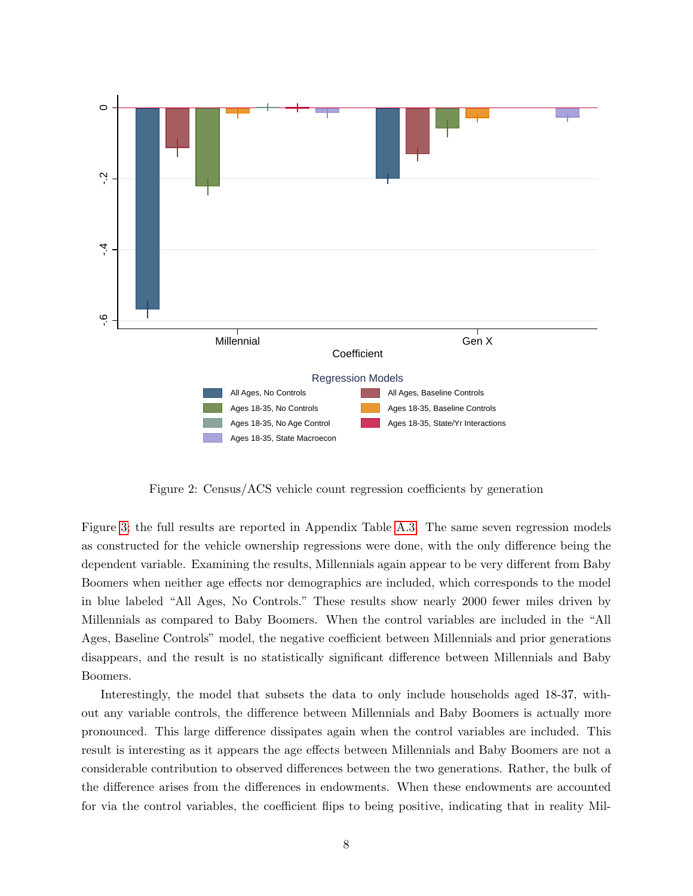

<span id="page-9-0"></span>Figure 2: Census/ACS vehicle count regression coefficients by generation

Figure [3;](#page-10-0) the full results are reported in Appendix Table [A.3.](#page-18-0) The same seven regression models as constructed for the vehicle ownership regressions were done, with the only difference being the dependent variable. Examining the results, Millennials again appear to be very different from Baby Boomers when neither age effects nor demographics are included, which corresponds to the model in blue labeled "All Ages, No Controls." These results show nearly 2000 fewer miles driven by Millennials as compared to Baby Boomers. When the control variables are included in the "All Ages, Baseline Controls" model, the negative coefficient between Millennials and prior generations disappears, and the result is no statistically significant difference between Millennials and Baby Boomers.

Interestingly, the model that subsets the data to only include households aged 18-37, without any variable controls, the difference between Millennials and Baby Boomers is actually more pronounced. This large difference dissipates again when the control variables are included. This result is interesting as it appears the age effects between Millennials and Baby Boomers are not a considerable contribution to observed differences between the two generations. Rather, the bulk of the difference arises from the differences in endowments. When these endowments are accounted for via the control variables, the coefficient flips to being positive, indicating that in reality Mil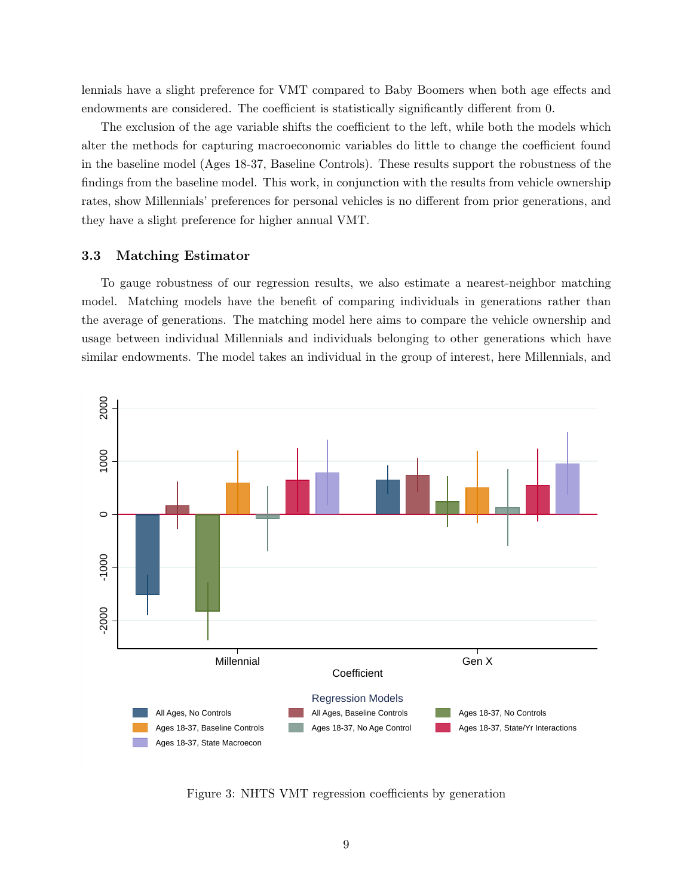lennials have a slight preference for VMT compared to Baby Boomers when both age effects and endowments are considered. The coefficient is statistically significantly different from 0.

The exclusion of the age variable shifts the coefficient to the left, while both the models which alter the methods for capturing macroeconomic variables do little to change the coefficient found in the baseline model (Ages 18-37, Baseline Controls). These results support the robustness of the findings from the baseline model. This work, in conjunction with the results from vehicle ownership rates, show Millennials' preferences for personal vehicles is no different from prior generations, and they have a slight preference for higher annual VMT.

#### 3.3 Matching Estimator

To gauge robustness of our regression results, we also estimate a nearest-neighbor matching model. Matching models have the benefit of comparing individuals in generations rather than the average of generations. The matching model here aims to compare the vehicle ownership and usage between individual Millennials and individuals belonging to other generations which have similar endowments. The model takes an individual in the group of interest, here Millennials, and



<span id="page-10-0"></span>Figure 3: NHTS VMT regression coefficients by generation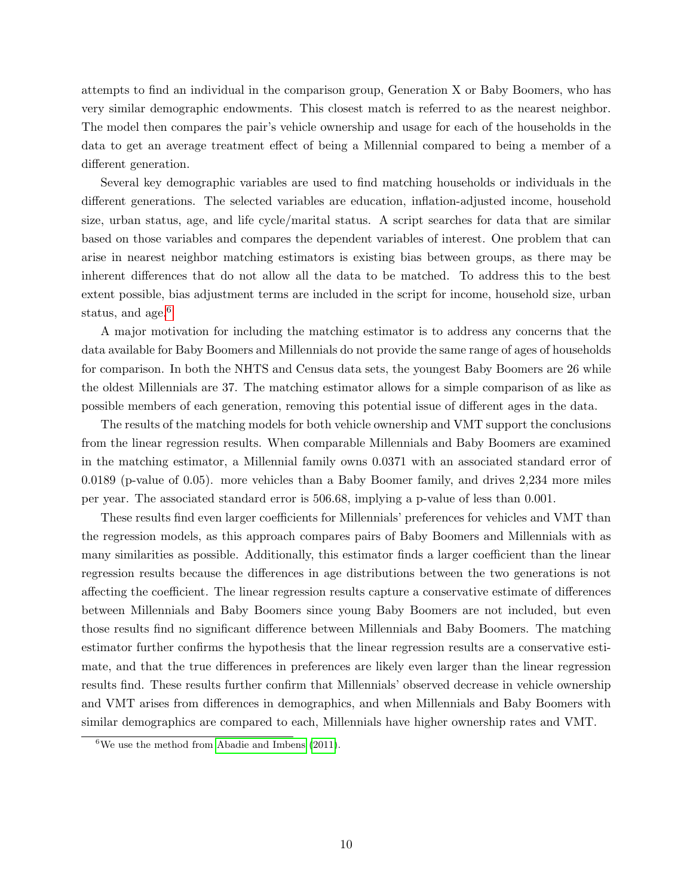attempts to find an individual in the comparison group, Generation X or Baby Boomers, who has very similar demographic endowments. This closest match is referred to as the nearest neighbor. The model then compares the pair's vehicle ownership and usage for each of the households in the data to get an average treatment effect of being a Millennial compared to being a member of a different generation.

Several key demographic variables are used to find matching households or individuals in the different generations. The selected variables are education, inflation-adjusted income, household size, urban status, age, and life cycle/marital status. A script searches for data that are similar based on those variables and compares the dependent variables of interest. One problem that can arise in nearest neighbor matching estimators is existing bias between groups, as there may be inherent differences that do not allow all the data to be matched. To address this to the best extent possible, bias adjustment terms are included in the script for income, household size, urban status, and age.<sup>[6](#page-11-0)</sup>

A major motivation for including the matching estimator is to address any concerns that the data available for Baby Boomers and Millennials do not provide the same range of ages of households for comparison. In both the NHTS and Census data sets, the youngest Baby Boomers are 26 while the oldest Millennials are 37. The matching estimator allows for a simple comparison of as like as possible members of each generation, removing this potential issue of different ages in the data.

The results of the matching models for both vehicle ownership and VMT support the conclusions from the linear regression results. When comparable Millennials and Baby Boomers are examined in the matching estimator, a Millennial family owns 0.0371 with an associated standard error of 0.0189 (p-value of 0.05). more vehicles than a Baby Boomer family, and drives 2,234 more miles per year. The associated standard error is 506.68, implying a p-value of less than 0.001.

These results find even larger coefficients for Millennials' preferences for vehicles and VMT than the regression models, as this approach compares pairs of Baby Boomers and Millennials with as many similarities as possible. Additionally, this estimator finds a larger coefficient than the linear regression results because the differences in age distributions between the two generations is not affecting the coefficient. The linear regression results capture a conservative estimate of differences between Millennials and Baby Boomers since young Baby Boomers are not included, but even those results find no significant difference between Millennials and Baby Boomers. The matching estimator further confirms the hypothesis that the linear regression results are a conservative estimate, and that the true differences in preferences are likely even larger than the linear regression results find. These results further confirm that Millennials' observed decrease in vehicle ownership and VMT arises from differences in demographics, and when Millennials and Baby Boomers with similar demographics are compared to each, Millennials have higher ownership rates and VMT.

<span id="page-11-0"></span> ${}^{6}$ We use the method from [Abadie and Imbens](#page-20-7) [\(2011\)](#page-20-7).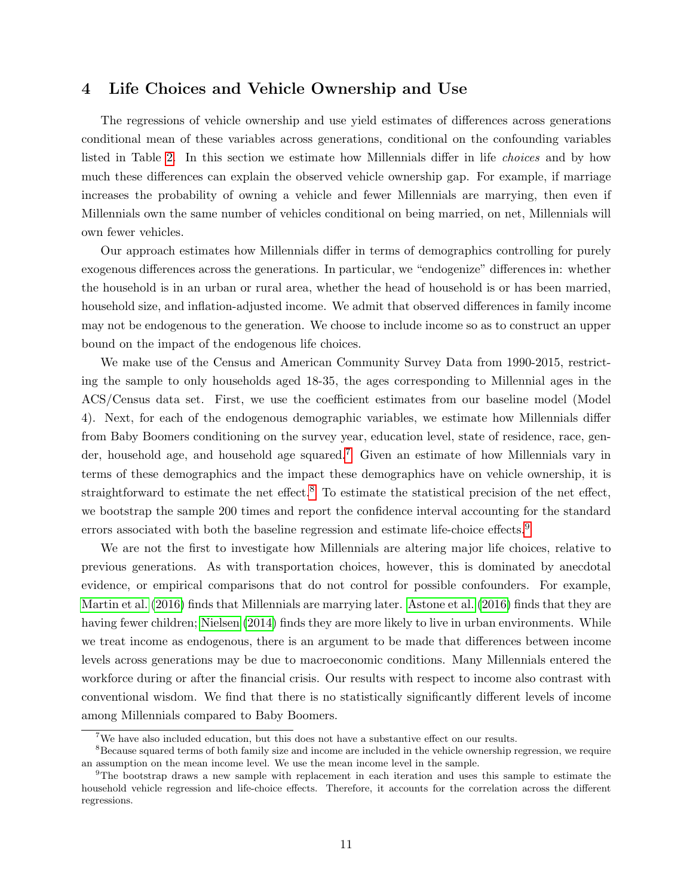## <span id="page-12-0"></span>4 Life Choices and Vehicle Ownership and Use

The regressions of vehicle ownership and use yield estimates of differences across generations conditional mean of these variables across generations, conditional on the confounding variables listed in Table [2.](#page-5-0) In this section we estimate how Millennials differ in life choices and by how much these differences can explain the observed vehicle ownership gap. For example, if marriage increases the probability of owning a vehicle and fewer Millennials are marrying, then even if Millennials own the same number of vehicles conditional on being married, on net, Millennials will own fewer vehicles.

Our approach estimates how Millennials differ in terms of demographics controlling for purely exogenous differences across the generations. In particular, we "endogenize" differences in: whether the household is in an urban or rural area, whether the head of household is or has been married, household size, and inflation-adjusted income. We admit that observed differences in family income may not be endogenous to the generation. We choose to include income so as to construct an upper bound on the impact of the endogenous life choices.

We make use of the Census and American Community Survey Data from 1990-2015, restricting the sample to only households aged 18-35, the ages corresponding to Millennial ages in the ACS/Census data set. First, we use the coefficient estimates from our baseline model (Model 4). Next, for each of the endogenous demographic variables, we estimate how Millennials differ from Baby Boomers conditioning on the survey year, education level, state of residence, race, gen-der, household age, and household age squared.<sup>[7](#page-12-1)</sup> Given an estimate of how Millennials vary in terms of these demographics and the impact these demographics have on vehicle ownership, it is straightforward to estimate the net effect.<sup>[8](#page-12-2)</sup> To estimate the statistical precision of the net effect, we bootstrap the sample 200 times and report the confidence interval accounting for the standard errors associated with both the baseline regression and estimate life-choice effects.<sup>[9](#page-12-3)</sup>

We are not the first to investigate how Millennials are altering major life choices, relative to previous generations. As with transportation choices, however, this is dominated by anecdotal evidence, or empirical comparisons that do not control for possible confounders. For example, [Martin et al.](#page-20-8) [\(2016\)](#page-20-8) finds that Millennials are marrying later. [Astone et al.](#page-20-9) [\(2016\)](#page-20-9) finds that they are having fewer children; [Nielsen](#page-20-10) [\(2014\)](#page-20-10) finds they are more likely to live in urban environments. While we treat income as endogenous, there is an argument to be made that differences between income levels across generations may be due to macroeconomic conditions. Many Millennials entered the workforce during or after the financial crisis. Our results with respect to income also contrast with conventional wisdom. We find that there is no statistically significantly different levels of income among Millennials compared to Baby Boomers.

<span id="page-12-2"></span><span id="page-12-1"></span><sup>7</sup>We have also included education, but this does not have a substantive effect on our results.

<sup>&</sup>lt;sup>8</sup>Because squared terms of both family size and income are included in the vehicle ownership regression, we require an assumption on the mean income level. We use the mean income level in the sample.

<span id="page-12-3"></span><sup>9</sup>The bootstrap draws a new sample with replacement in each iteration and uses this sample to estimate the household vehicle regression and life-choice effects. Therefore, it accounts for the correlation across the different regressions.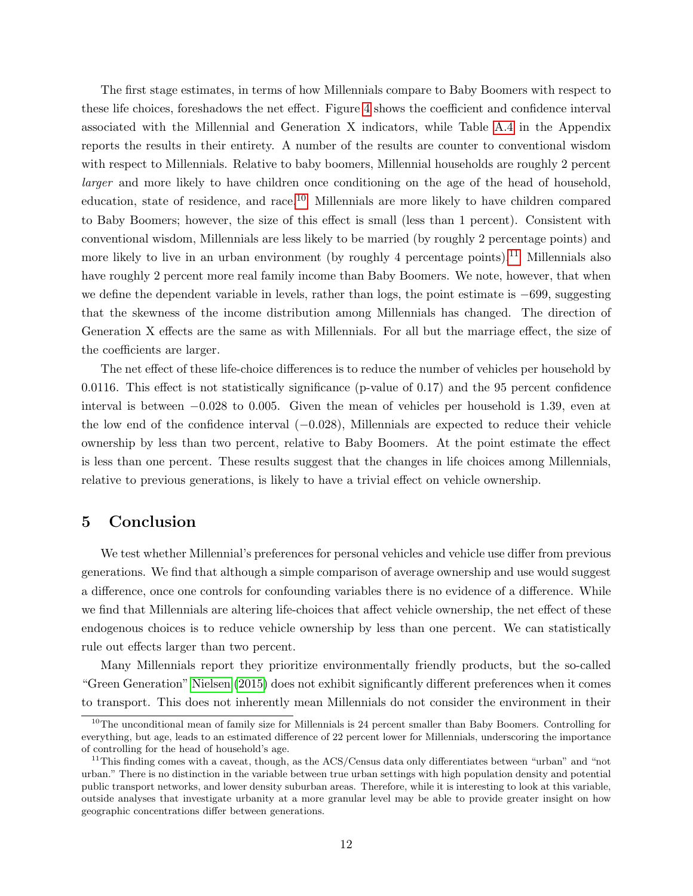The first stage estimates, in terms of how Millennials compare to Baby Boomers with respect to these life choices, foreshadows the net effect. Figure [4](#page-14-0) shows the coefficient and confidence interval associated with the Millennial and Generation X indicators, while Table [A.4](#page-19-0) in the Appendix reports the results in their entirety. A number of the results are counter to conventional wisdom with respect to Millennials. Relative to baby boomers, Millennial households are roughly 2 percent larger and more likely to have children once conditioning on the age of the head of household, education, state of residence, and race.[10](#page-13-1) Millennials are more likely to have children compared to Baby Boomers; however, the size of this effect is small (less than 1 percent). Consistent with conventional wisdom, Millennials are less likely to be married (by roughly 2 percentage points) and more likely to live in an urban environment (by roughly 4 percentage points).<sup>[11](#page-13-2)</sup> Millennials also have roughly 2 percent more real family income than Baby Boomers. We note, however, that when we define the dependent variable in levels, rather than logs, the point estimate is −699, suggesting that the skewness of the income distribution among Millennials has changed. The direction of Generation X effects are the same as with Millennials. For all but the marriage effect, the size of the coefficients are larger.

The net effect of these life-choice differences is to reduce the number of vehicles per household by 0.0116. This effect is not statistically significance (p-value of 0.17) and the 95 percent confidence interval is between −0.028 to 0.005. Given the mean of vehicles per household is 1.39, even at the low end of the confidence interval (−0.028), Millennials are expected to reduce their vehicle ownership by less than two percent, relative to Baby Boomers. At the point estimate the effect is less than one percent. These results suggest that the changes in life choices among Millennials, relative to previous generations, is likely to have a trivial effect on vehicle ownership.

## <span id="page-13-0"></span>5 Conclusion

We test whether Millennial's preferences for personal vehicles and vehicle use differ from previous generations. We find that although a simple comparison of average ownership and use would suggest a difference, once one controls for confounding variables there is no evidence of a difference. While we find that Millennials are altering life-choices that affect vehicle ownership, the net effect of these endogenous choices is to reduce vehicle ownership by less than one percent. We can statistically rule out effects larger than two percent.

Many Millennials report they prioritize environmentally friendly products, but the so-called "Green Generation" [Nielsen](#page-20-11) [\(2015\)](#page-20-11) does not exhibit significantly different preferences when it comes to transport. This does not inherently mean Millennials do not consider the environment in their

<span id="page-13-1"></span> $10$ The unconditional mean of family size for Millennials is 24 percent smaller than Baby Boomers. Controlling for everything, but age, leads to an estimated difference of 22 percent lower for Millennials, underscoring the importance of controlling for the head of household's age.

<span id="page-13-2"></span><sup>&</sup>lt;sup>11</sup>This finding comes with a caveat, though, as the ACS/Census data only differentiates between "urban" and "not urban." There is no distinction in the variable between true urban settings with high population density and potential public transport networks, and lower density suburban areas. Therefore, while it is interesting to look at this variable, outside analyses that investigate urbanity at a more granular level may be able to provide greater insight on how geographic concentrations differ between generations.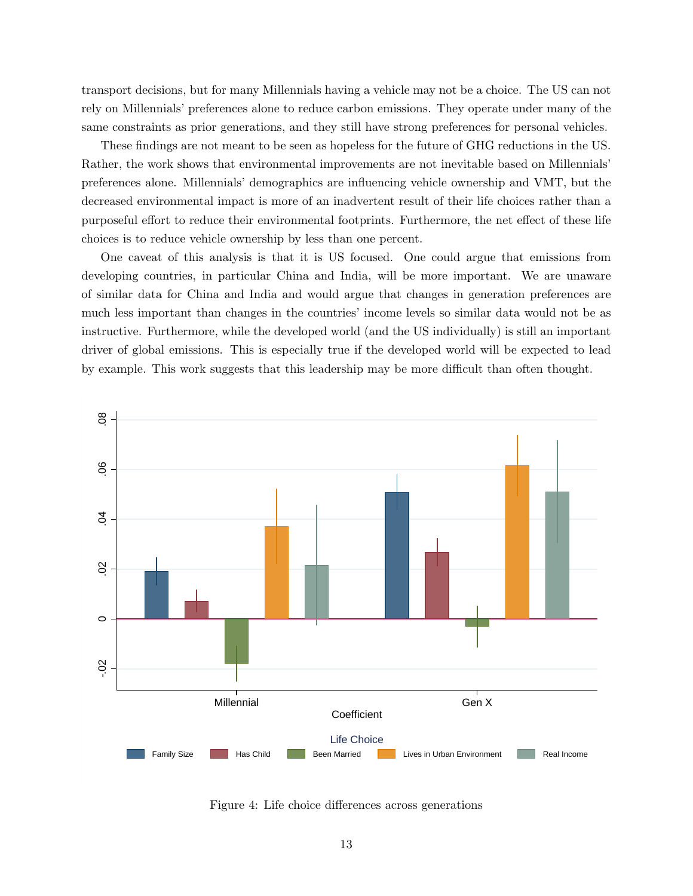transport decisions, but for many Millennials having a vehicle may not be a choice. The US can not rely on Millennials' preferences alone to reduce carbon emissions. They operate under many of the same constraints as prior generations, and they still have strong preferences for personal vehicles.

These findings are not meant to be seen as hopeless for the future of GHG reductions in the US. Rather, the work shows that environmental improvements are not inevitable based on Millennials' preferences alone. Millennials' demographics are influencing vehicle ownership and VMT, but the decreased environmental impact is more of an inadvertent result of their life choices rather than a purposeful effort to reduce their environmental footprints. Furthermore, the net effect of these life choices is to reduce vehicle ownership by less than one percent.

One caveat of this analysis is that it is US focused. One could argue that emissions from developing countries, in particular China and India, will be more important. We are unaware of similar data for China and India and would argue that changes in generation preferences are much less important than changes in the countries' income levels so similar data would not be as instructive. Furthermore, while the developed world (and the US individually) is still an important driver of global emissions. This is especially true if the developed world will be expected to lead by example. This work suggests that this leadership may be more difficult than often thought.



<span id="page-14-0"></span>Figure 4: Life choice differences across generations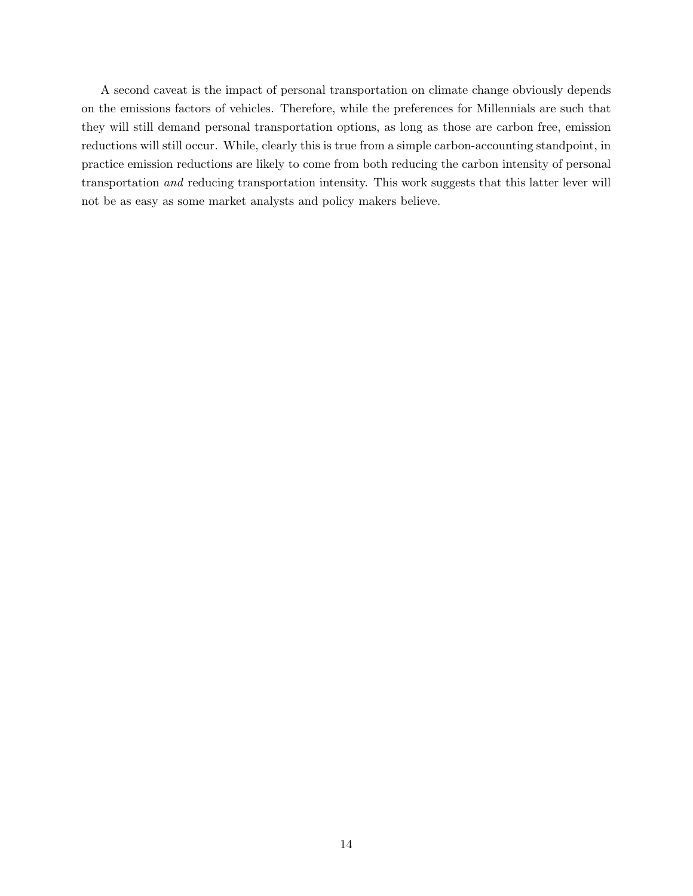A second caveat is the impact of personal transportation on climate change obviously depends on the emissions factors of vehicles. Therefore, while the preferences for Millennials are such that they will still demand personal transportation options, as long as those are carbon free, emission reductions will still occur. While, clearly this is true from a simple carbon-accounting standpoint, in practice emission reductions are likely to come from both reducing the carbon intensity of personal transportation and reducing transportation intensity. This work suggests that this latter lever will not be as easy as some market analysts and policy makers believe.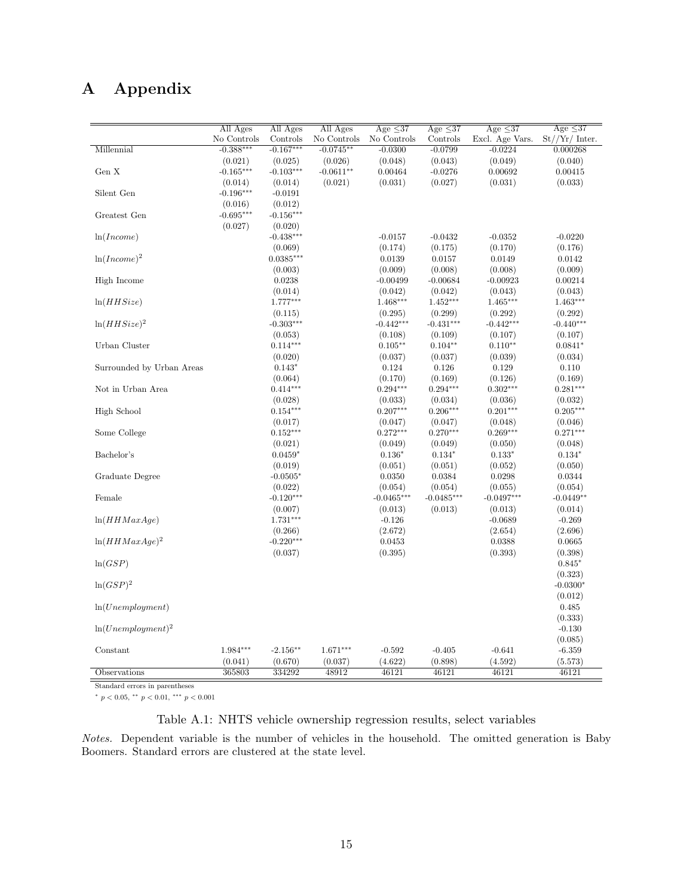# A Appendix

|                           | All Ages    | All Ages    | All Ages    | Age $\leq 37$         | Age $\leq$ 37         | Age $\leq 37$         | Age $\leq$ 37         |
|---------------------------|-------------|-------------|-------------|-----------------------|-----------------------|-----------------------|-----------------------|
|                           | No Controls | Controls    | No Controls | No Controls           | Controls              | Excl. Age Vars.       | $St//Yr/$ Inter.      |
| Millennial                | $-0.388***$ | $-0.167***$ | $-0.0745**$ | $-0.0300$             | $-0.0799$             | $-0.0224$             | 0.000268              |
|                           | (0.021)     | (0.025)     | (0.026)     | (0.048)               | (0.043)               | (0.049)               | (0.040)               |
| Gen X                     | $-0.165***$ | $-0.103***$ | $-0.0611**$ | 0.00464               | $-0.0276$             | 0.00692               | 0.00415               |
|                           | (0.014)     | (0.014)     | (0.021)     | (0.031)               | (0.027)               | (0.031)               | (0.033)               |
| Silent Gen                | $-0.196***$ | $-0.0191$   |             |                       |                       |                       |                       |
|                           | (0.016)     | (0.012)     |             |                       |                       |                       |                       |
| Greatest Gen              | $-0.695***$ | $-0.156***$ |             |                       |                       |                       |                       |
|                           | (0.027)     | (0.020)     |             |                       |                       |                       |                       |
| ln(Income)                |             | $-0.438***$ |             | $-0.0157$             | $-0.0432$             | $-0.0352$             | $-0.0220$             |
|                           |             | (0.069)     |             | (0.174)               | (0.175)               | (0.170)               | (0.176)               |
| $ln(Income)^2$            |             | $0.0385***$ |             | 0.0139                | 0.0157                | 0.0149                | 0.0142                |
|                           |             | (0.003)     |             | (0.009)               | (0.008)               | (0.008)               | (0.009)               |
| High Income               |             | 0.0238      |             | $-0.00499$            | $-0.00684$            | $-0.00923$            | 0.00214               |
|                           |             | (0.014)     |             | (0.042)               | (0.042)               | (0.043)               | (0.043)               |
| ln(HHSize)                |             | 1.777***    |             | $1.468***$            | $1.452***$            | $1.465***$            | $1.463***$            |
|                           |             | (0.115)     |             | (0.295)               | (0.299)               | (0.292)               | (0.292)               |
| $ln(HHSize)^2$            |             | $-0.303***$ |             | $-0.442***$           | $-0.431***$           | $-0.442***$           | $-0.440***$           |
|                           |             | (0.053)     |             | (0.108)               | (0.109)               | (0.107)               | (0.107)               |
| Urban Cluster             |             | $0.114***$  |             | $0.105**$             | $0.104**$             | $0.110**$             | $0.0841*$             |
|                           |             | (0.020)     |             | (0.037)               | (0.037)               | (0.039)               | (0.034)               |
| Surrounded by Urban Areas |             | $0.143*$    |             | 0.124                 | 0.126                 | 0.129                 | 0.110                 |
|                           |             | (0.064)     |             | (0.170)               | (0.169)               | (0.126)               | (0.169)               |
| Not in Urban Area         |             | $0.414***$  |             | $0.294***$            | $0.294***$            | $0.302***$            | $0.281***$            |
|                           |             | (0.028)     |             |                       |                       |                       |                       |
| High School               |             | $0.154***$  |             | (0.033)<br>$0.207***$ | (0.034)<br>$0.206***$ | (0.036)<br>$0.201***$ | (0.032)<br>$0.205***$ |
|                           |             |             |             |                       |                       |                       |                       |
|                           |             | (0.017)     |             | (0.047)               | (0.047)               | (0.048)               | (0.046)               |
| Some College              |             | $0.152***$  |             | $0.272***$            | $0.270***$            | $0.269***$            | $0.271***$            |
|                           |             | (0.021)     |             | (0.049)               | (0.049)               | (0.050)               | (0.048)               |
| Bachelor's                |             | $0.0459*$   |             | $0.136*$              | $0.134*$              | $0.133*$              | $0.134*$              |
|                           |             | (0.019)     |             | (0.051)               | (0.051)               | (0.052)               | (0.050)               |
| Graduate Degree           |             | $-0.0505*$  |             | 0.0350                | 0.0384                | 0.0298                | 0.0344                |
|                           |             | (0.022)     |             | (0.054)               | (0.054)               | (0.055)               | (0.054)               |
| Female                    |             | $-0.120***$ |             | $-0.0465***$          | $-0.0485***$          | $-0.0497***$          | $-0.0449**$           |
|                           |             | (0.007)     |             | (0.013)               | (0.013)               | (0.013)               | (0.014)               |
| ln(HHMaxAge)              |             | $1.731***$  |             | $-0.126$              |                       | $-0.0689$             | $-0.269$              |
|                           |             | (0.266)     |             | (2.672)               |                       | (2.654)               | (2.696)               |
| $ln(HHMaxAge)^2$          |             | $-0.220***$ |             | 0.0453                |                       | 0.0388                | 0.0665                |
|                           |             | (0.037)     |             | (0.395)               |                       | (0.393)               | (0.398)               |
| ln(GSP)                   |             |             |             |                       |                       |                       | $0.845*$              |
|                           |             |             |             |                       |                       |                       | (0.323)               |
| $ln(GSP)^2$               |             |             |             |                       |                       |                       | $-0.0300*$            |
|                           |             |             |             |                       |                       |                       | (0.012)               |
| ln(Unemboyment)           |             |             |             |                       |                       |                       | 0.485                 |
|                           |             |             |             |                       |                       |                       | (0.333)               |
| $ln(Unemboyment)^2$       |             |             |             |                       |                       |                       | $-0.130$              |
|                           |             |             |             |                       |                       |                       | (0.085)               |
| Constant                  | 1.984***    | $-2.156**$  | $1.671***$  | $-0.592$              | $-0.405$              | $-0.641$              | $-6.359$              |
|                           | (0.041)     | (0.670)     | (0.037)     | (4.622)               | (0.898)               | (4.592)               | (5.573)               |
| Observations              | 365803      | 334292      | 48912       | 46121                 | 46121                 | 46121                 | 46121                 |

Standard errors in parentheses

<sup>∗</sup> p < 0.05, ∗∗ p < 0.01, ∗∗∗ p < 0.001

### <span id="page-16-0"></span>Table A.1: NHTS vehicle ownership regression results, select variables

Notes. Dependent variable is the number of vehicles in the household. The omitted generation is Baby Boomers. Standard errors are clustered at the state level.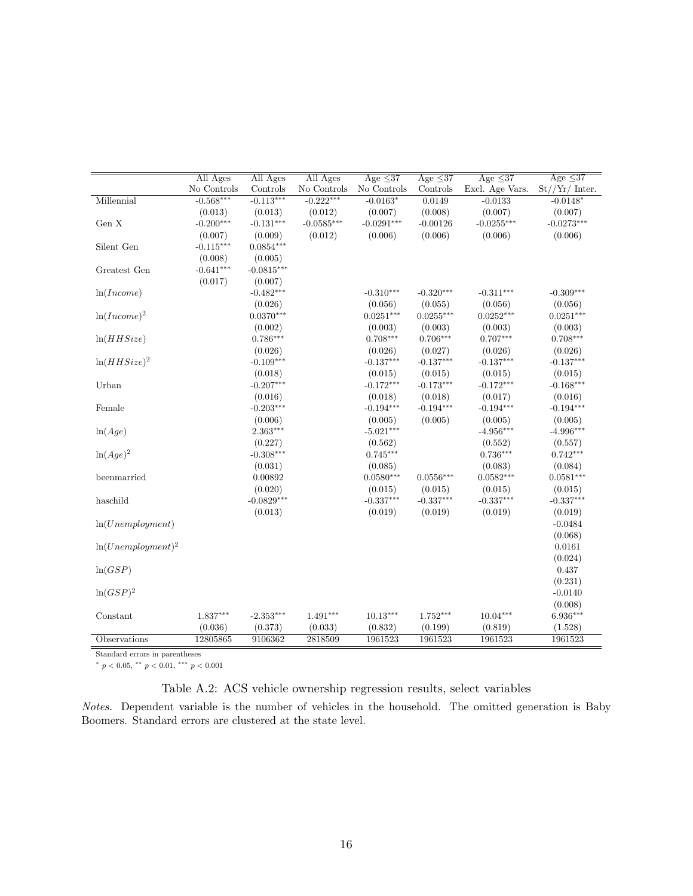|                      | All Ages    | All Ages     | All Ages     | Age $\leq 37$ | Age $\leq 37$ | Age $\leq 37$   | Age $\leq 37$                      |
|----------------------|-------------|--------------|--------------|---------------|---------------|-----------------|------------------------------------|
|                      | No Controls | Controls     | No Controls  | No Controls   | Controls      | Excl. Age Vars. | $\mathrm{St}//\mathrm{Yr}/$ Inter. |
| Millennial           | $-0.568***$ | $-0.113***$  | $-0.222***$  | $-0.0163*$    | 0.0149        | $-0.0133$       | $-0.0148*$                         |
|                      | (0.013)     | (0.013)      | (0.012)      | (0.007)       | (0.008)       | (0.007)         | (0.007)                            |
| Gen X                | $-0.200***$ | $-0.131***$  | $-0.0585***$ | $-0.0291***$  | $-0.00126$    | $-0.0255***$    | $-0.0273***$                       |
|                      | (0.007)     | (0.009)      | (0.012)      | (0.006)       | (0.006)       | (0.006)         | (0.006)                            |
| Silent Gen           | $-0.115***$ | $0.0854***$  |              |               |               |                 |                                    |
|                      | (0.008)     | (0.005)      |              |               |               |                 |                                    |
| Greatest Gen         | $-0.641***$ | $-0.0815***$ |              |               |               |                 |                                    |
|                      | (0.017)     | (0.007)      |              |               |               |                 |                                    |
| ln(Income)           |             | $-0.482***$  |              | $-0.310***$   | $-0.320***$   | $-0.311***$     | $-0.309***$                        |
|                      |             | (0.026)      |              | (0.056)       | (0.055)       | (0.056)         | (0.056)                            |
| $ln(Income)^2$       |             | $0.0370***$  |              | $0.0251***$   | $0.0255***$   | $0.0252***$     | $0.0251***$                        |
|                      |             | (0.002)      |              | (0.003)       | (0.003)       | (0.003)         | (0.003)                            |
| ln(HHSize)           |             | $0.786***$   |              | $0.708***$    | $0.706***$    | $0.707***$      | $0.708***$                         |
|                      |             | (0.026)      |              | (0.026)       | (0.027)       | (0.026)         | (0.026)                            |
| $ln(HHSize)^2$       |             | $-0.109***$  |              | $-0.137***$   | $-0.137***$   | $-0.137***$     | $-0.137***$                        |
|                      |             | (0.018)      |              | (0.015)       | (0.015)       | (0.015)         | (0.015)                            |
| Urban                |             | $-0.207***$  |              | $-0.172***$   | $-0.173***$   | $-0.172***$     | $-0.168***$                        |
|                      |             | (0.016)      |              | (0.018)       | (0.018)       | (0.017)         | (0.016)                            |
| Female               |             | $-0.203***$  |              | $-0.194***$   | $-0.194***$   | $-0.194***$     | $-0.194***$                        |
|                      |             | (0.006)      |              | (0.005)       | (0.005)       | (0.005)         | (0.005)                            |
| ln(Age)              |             | 2.363***     |              | $-5.021***$   |               | $-4.956***$     | $-4.996***$                        |
|                      |             | (0.227)      |              | (0.562)       |               | (0.552)         | (0.557)                            |
| $\ln(Age)^2$         |             | $-0.308***$  |              | $0.745***$    |               | $0.736***$      | $0.742***$                         |
|                      |             | (0.031)      |              | (0.085)       |               | (0.083)         | (0.084)                            |
| beenmarried          |             | 0.00892      |              | $0.0580***$   | $0.0556***$   | $0.0582***$     | $0.0581***$                        |
|                      |             | (0.020)      |              | (0.015)       | (0.015)       | (0.015)         | (0.015)                            |
| haschild             |             | $-0.0829***$ |              | $-0.337***$   | $-0.337***$   | $-0.337***$     | $-0.337***$                        |
|                      |             | (0.013)      |              | (0.019)       | (0.019)       | (0.019)         | (0.019)                            |
| ln(Unemplogment)     |             |              |              |               |               |                 | $-0.0484$                          |
|                      |             |              |              |               |               |                 | (0.068)                            |
| $ln(Unemployment)^2$ |             |              |              |               |               |                 | 0.0161                             |
|                      |             |              |              |               |               |                 | (0.024)                            |
| ln(GSP)              |             |              |              |               |               |                 | 0.437                              |
|                      |             |              |              |               |               |                 | (0.231)                            |
| $\ln(GSP)^2$         |             |              |              |               |               |                 | $-0.0140$                          |
|                      |             |              |              |               |               |                 | (0.008)                            |
| Constant             | 1.837***    | $-2.353***$  | 1.491***     | $10.13***$    | $1.752***$    | $10.04***$      | 6.936***                           |
|                      | (0.036)     | (0.373)      | (0.033)      | (0.832)       | (0.199)       | (0.819)         | (1.528)                            |
| Observations         | 12805865    | 9106362      | 2818509      | 1961523       | 1961523       | 1961523         | 1961523                            |

Standard errors in parentheses

<sup>∗</sup> p < 0.05, ∗∗ p < 0.01, ∗∗∗ p < 0.001

<span id="page-17-0"></span>Table A.2: ACS vehicle ownership regression results, select variables

Notes. Dependent variable is the number of vehicles in the household. The omitted generation is Baby Boomers. Standard errors are clustered at the state level.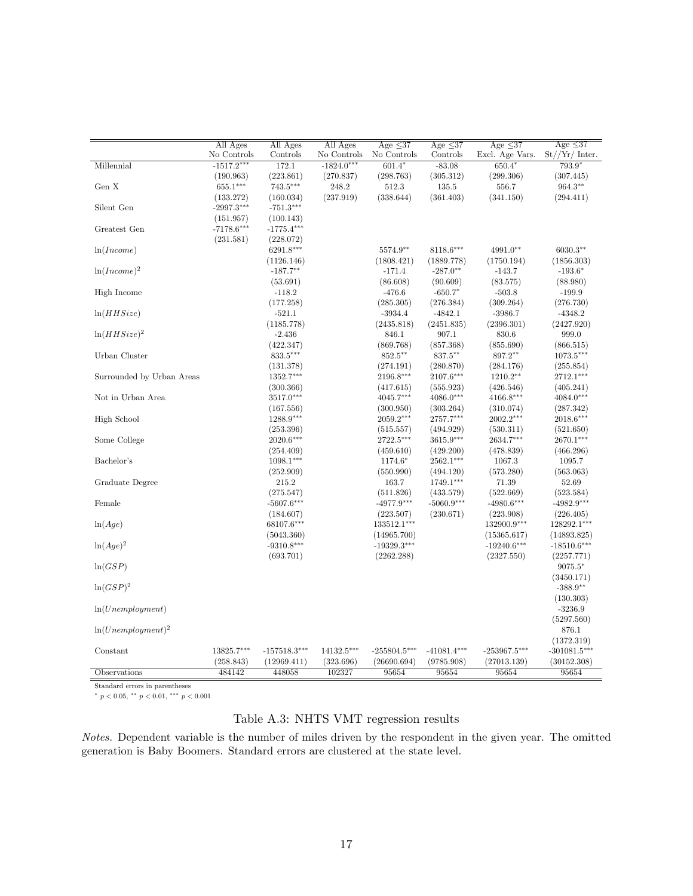|                           | All Ages     | All Ages       | All Ages     | Age $\leq$ 37  | Age $\leq$ 37 | Age $\leq$ 37   | Age $\leq$ 37    |
|---------------------------|--------------|----------------|--------------|----------------|---------------|-----------------|------------------|
|                           | No Controls  | Controls       | No Controls  | No Controls    | Controls      | Excl. Age Vars. | $St//Yr/$ Inter. |
| Millennial                | $-1517.2***$ | 172.1          | $-1824.0***$ | $601.4*$       | $-83.08$      | $650.4*$        | 793.9*           |
|                           | (190.963)    | (223.861)      | (270.837)    | (298.763)      | (305.312)     | (299.306)       | (307.445)        |
| Gen $X$                   | $655.1***$   | $743.5***$     | 248.2        | 512.3          | 135.5         | 556.7           | $964.3***$       |
|                           | (133.272)    | (160.034)      | (237.919)    | (338.644)      | (361.403)     | (341.150)       | (294.411)        |
| Silent Gen                | $-2997.3***$ | $-751.3***$    |              |                |               |                 |                  |
|                           | (151.957)    | (100.143)      |              |                |               |                 |                  |
| Greatest Gen              | $-7178.6***$ | $-1775.4***$   |              |                |               |                 |                  |
|                           | (231.581)    | (228.072)      |              |                |               |                 |                  |
| ln(Income)                |              | 6291.8***      |              | 5574.9**       | 8118.6***     | 4991.0**        | 6030.3**         |
|                           |              | (1126.146)     |              | (1808.421)     | (1889.778)    | (1750.194)      | (1856.303)       |
| $ln(Income)^2$            |              | $-187.7**$     |              | $-171.4$       | $-287.0**$    | $-143.7$        | $-193.6*$        |
|                           |              | (53.691)       |              | (86.608)       | (90.609)      | (83.575)        | (88.980)         |
| High Income               |              | $-118.2$       |              | $-476.6$       | $-650.7*$     | $-503.8$        | $-199.9$         |
|                           |              | (177.258)      |              | (285.305)      | (276.384)     | (309.264)       | (276.730)        |
| ln(HHSize)                |              | $-521.1$       |              | $-3934.4$      | $-4842.1$     | $-3986.7$       | $-4348.2$        |
|                           |              | (1185.778)     |              | (2435.818)     | (2451.835)    | (2396.301)      | (2427.920)       |
| $ln(HHSize)^2$            |              | $-2.436$       |              | 846.1          | 907.1         | 830.6           | 999.0            |
|                           |              | (422.347)      |              | (869.768)      | (857.368)     | (855.690)       | (866.515)        |
| Urban Cluster             |              | 833.5***       |              | 852.5**        | 837.5**       | 897.2**         | $1073.5***$      |
|                           |              | (131.378)      |              | (274.191)      | (280.870)     | (284.176)       | (255.854)        |
| Surrounded by Urban Areas |              | 1352.7***      |              | 2196.8***      | $2107.6***$   | $1210.2**$      | 2712.1***        |
|                           |              | (300.366)      |              | (417.615)      | (555.923)     | (426.546)       | (405.241)        |
| Not in Urban Area         |              | $3517.0***$    |              | $4045.7***$    | $4086.0***$   | $4166.8***$     | $4084.0***$      |
|                           |              | (167.556)      |              | (300.950)      | (303.264)     | (310.074)       | (287.342)        |
| High School               |              | 1288.9***      |              | 2059.2***      | 2757.7***     | 2002.2***       | $2018.6***$      |
|                           |              | (253.396)      |              | (515.557)      | (494.929)     | (530.311)       | (521.650)        |
| Some College              |              | 2020.6***      |              | 2722.5***      | $3615.9***$   | 2634.7***       | $2670.1***$      |
|                           |              | (254.409)      |              | (459.610)      | (429.200)     | (478.839)       | (466.296)        |
| Bachelor's                |              | $1098.1***$    |              | 1174.6*        | 2562.1***     | 1067.3          | 1095.7           |
|                           |              | (252.909)      |              | (550.990)      | (494.120)     | (573.280)       | (563.063)        |
| Graduate Degree           |              | 215.2          |              | 163.7          | 1749.1***     | 71.39           | 52.69            |
|                           |              | (275.547)      |              | (511.826)      | (433.579)     | (522.669)       | (523.584)        |
| Female                    |              | $-5607.6***$   |              | $-4977.9***$   | $-5060.9***$  | $-4980.6***$    | $-4982.9***$     |
|                           |              | (184.607)      |              | (223.507)      | (230.671)     | (223.908)       | (226.405)        |
| ln(Age)                   |              | 68107.6***     |              | 133512.1***    |               | 132900.9***     | 128292.1***      |
|                           |              | (5043.360)     |              | (14965.700)    |               | (15365.617)     | (14893.825)      |
| $\ln(Age)^2$              |              | $-9310.8***$   |              | $-19329.3***$  |               | $-19240.6***$   | $-18510.6***$    |
|                           |              | (693.701)      |              | (2262.288)     |               | (2327.550)      | (2257.771)       |
| ln(GSP)                   |              |                |              |                |               |                 | $9075.5*$        |
|                           |              |                |              |                |               |                 | (3450.171)       |
| $ln(GSP)^2$               |              |                |              |                |               |                 | $-388.9**$       |
|                           |              |                |              |                |               |                 | (130.303)        |
| ln(Unemployment)          |              |                |              |                |               |                 | $-3236.9$        |
|                           |              |                |              |                |               |                 | (5297.560)       |
| $ln(Unemploument)^2$      |              |                |              |                |               |                 | 876.1            |
|                           |              |                |              |                |               |                 | (1372.319)       |
| Constant                  | 13825.7***   | $-157518.3***$ | 14132.5***   | $-255804.5***$ | $-41081.4***$ | $-253967.5***$  | $-301081.5***$   |
|                           | (258.843)    | (12969.411)    | (323.696)    | (26690.694)    | (9785.908)    | (27013.139)     | (30152.308)      |
| Observations              | 484142       | 448058         | 102327       | 95654          | 95654         | 95654           | 95654            |
|                           |              |                |              |                |               |                 |                  |

Standard errors in parentheses

 $^{*}$   $p$   $<$  0.05,  $^{**}$   $p$   $<$  0.01,  $^{***}$   $p$   $<$  0.001  $\,$ 

# <span id="page-18-0"></span>Table A.3: NHTS VMT regression results

Notes. Dependent variable is the number of miles driven by the respondent in the given year. The omitted generation is Baby Boomers. Standard errors are clustered at the state level.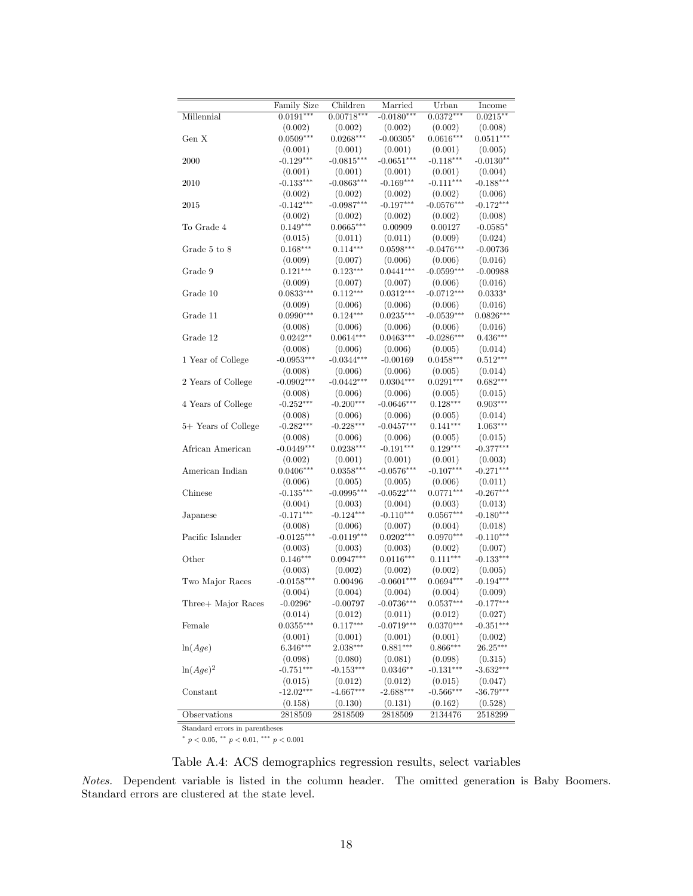|                     | <b>Family Size</b> | Children     | Married      | Urban        | Income      |
|---------------------|--------------------|--------------|--------------|--------------|-------------|
| Millennial          | $0.0191***$        | $0.00718***$ | $-0.0180***$ | $0.0372***$  | $0.0215***$ |
|                     | (0.002)            | (0.002)      | (0.002)      | (0.002)      | (0.008)     |
| Gen X               | $0.0509***$        | $0.0268***$  | $-0.00305*$  | $0.0616***$  | $0.0511***$ |
|                     | (0.001)            | (0.001)      | (0.001)      | (0.001)      | (0.005)     |
| 2000                | $-0.129***$        | $-0.0815***$ | $-0.0651***$ | $-0.118***$  | $-0.0130**$ |
|                     | (0.001)            | (0.001)      | (0.001)      | (0.001)      | (0.004)     |
| 2010                | $-0.133***$        | $-0.0863***$ | $-0.169***$  | $-0.111***$  | $-0.188***$ |
|                     | (0.002)            | (0.002)      | (0.002)      | (0.002)      | (0.006)     |
| 2015                | $-0.142***$        | $-0.0987***$ | $-0.197***$  | $-0.0576***$ | $-0.172***$ |
|                     | (0.002)            | (0.002)      | (0.002)      | (0.002)      | (0.008)     |
| To Grade 4          | $0.149***$         | $0.0665***$  | 0.00909      | 0.00127      | $-0.0585*$  |
|                     | (0.015)            | (0.011)      | (0.011)      | (0.009)      | (0.024)     |
| Grade 5 to 8        | $0.168***$         | $0.114***$   | $0.0598***$  | $-0.0476***$ | $-0.00736$  |
|                     | (0.009)            | (0.007)      | (0.006)      | (0.006)      | (0.016)     |
| Grade 9             | $0.121***$         | $0.123***$   | $0.0441***$  | $-0.0599***$ | $-0.00988$  |
|                     | (0.009)            | (0.007)      | (0.007)      | (0.006)      | (0.016)     |
| Grade 10            | $0.0833***$        | $0.112***$   | $0.0312***$  | $-0.0712***$ | $0.0333*$   |
|                     | (0.009)            | (0.006)      | (0.006)      | (0.006)      | (0.016)     |
| Grade 11            | $0.0990***$        | $0.124***$   | $0.0235***$  | $-0.0539***$ | $0.0826***$ |
|                     | (0.008)            | (0.006)      | (0.006)      | (0.006)      | (0.016)     |
| Grade 12            | $0.0242**$         | $0.0614***$  | $0.0463***$  | $-0.0286***$ | $0.436***$  |
|                     | (0.008)            | (0.006)      | (0.006)      | (0.005)      | (0.014)     |
| 1 Year of College   | $-0.0953***$       | $-0.0344***$ | $-0.00169$   | $0.0458***$  | $0.512***$  |
|                     | (0.008)            | (0.006)      | (0.006)      | (0.005)      | (0.014)     |
| 2 Years of College  | $-0.0902***$       | $-0.0442***$ | $0.0304***$  | $0.0291***$  | $0.682***$  |
|                     | (0.008)            | (0.006)      | (0.006)      | (0.005)      | (0.015)     |
| 4 Years of College  | $-0.252***$        | $-0.200***$  | $-0.0646***$ | $0.128***$   | $0.903***$  |
|                     | (0.008)            | (0.006)      | (0.006)      | (0.005)      | (0.014)     |
| 5+ Years of College | $-0.282***$        | $-0.228***$  | $-0.0457***$ | $0.141***$   | $1.063***$  |
|                     | (0.008)            | (0.006)      | (0.006)      | (0.005)      | (0.015)     |
| African American    | $-0.0449***$       | $0.0238***$  | $-0.191***$  | $0.129***$   | $-0.377***$ |
|                     | (0.002)            | (0.001)      | (0.001)      | (0.001)      | (0.003)     |
| American Indian     | $0.0406***$        | $0.0358***$  | $-0.0576***$ | $-0.107***$  | $-0.271***$ |
|                     | (0.006)            | (0.005)      | (0.005)      | (0.006)      | (0.011)     |
| Chinese             | $-0.135***$        | $-0.0995***$ | $-0.0522***$ | $0.0771***$  | $-0.267***$ |
|                     | (0.004)            | (0.003)      | (0.004)      | (0.003)      | (0.013)     |
| Japanese            | $-0.171***$        | $-0.124***$  | $-0.110***$  | $0.0567***$  | $-0.180***$ |
|                     | (0.008)            | (0.006)      | (0.007)      | (0.004)      | (0.018)     |
| Pacific Islander    | $-0.0125***$       | $-0.0119***$ | $0.0202***$  | $0.0970***$  | $-0.110***$ |
|                     | (0.003)            | (0.003)      | (0.003)      | (0.002)      | (0.007)     |
| Other               | $0.146***$         | $0.0947***$  | $0.0116***$  | $0.111***$   | $-0.133***$ |
|                     | (0.003)            | (0.002)      | (0.002)      | (0.002)      | (0.005)     |
| Two Major Races     | $-0.0158***$       | 0.00496      | $-0.0601***$ | $0.0694***$  | $-0.194***$ |
|                     | (0.004)            | (0.004)      | (0.004)      | (0.004)      | (0.009)     |
| Three+ Major Races  | $-0.0296*$         | $-0.00797$   | $-0.0736***$ | $0.0537***$  | $-0.177***$ |
|                     | (0.014)            | (0.012)      | (0.011)      | (0.012)      | (0.027)     |
| Female              | $0.0355***$        | $0.117***$   | $-0.0719***$ | $0.0370***$  | $-0.351***$ |
|                     | (0.001)            | (0.001)      | (0.001)      | (0.001)      | (0.002)     |
| ln(Age)             | $6.346***$         | $2.038***$   | $0.881***$   | $0.866***$   | $26.25***$  |
|                     | (0.098)            | (0.080)      | (0.081)      | (0.098)      | (0.315)     |
| $\ln(Age)^2$        | $-0.751***$        | $-0.153***$  | $0.0346**$   | $-0.131***$  | $-3.632***$ |
|                     | (0.015)            | (0.012)      | (0.012)      | (0.015)      | (0.047)     |
| Constant            | $-12.02***$        | $-4.667***$  | $-2.688***$  | $-0.566***$  | $-36.79***$ |
|                     | (0.158)            | (0.130)      | (0.131)      | (0.162)      | (0.528)     |
| Observations        | 2818509            | 2818509      | 2818509      | 2134476      | 2518299     |
|                     |                    |              |              |              |             |

Standard errors in parentheses

<span id="page-19-0"></span><sup>∗</sup> p < 0.05, ∗∗ p < 0.01, ∗∗∗ p < 0.001

Table A.4: ACS demographics regression results, select variables

Notes. Dependent variable is listed in the column header. The omitted generation is Baby Boomers. Standard errors are clustered at the state level.